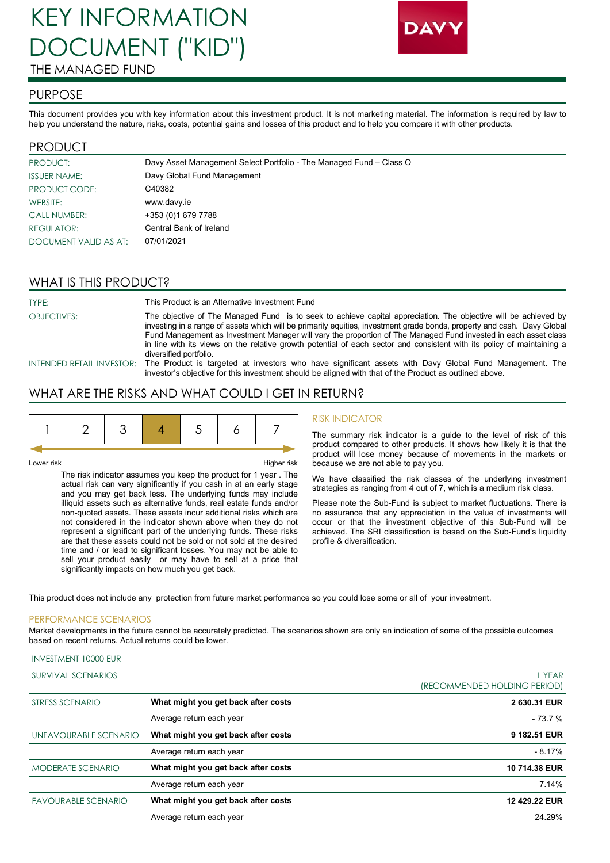# KEY INFORMATION DOCUMENT ("KID") THE MANAGED FUND



### PURPOSE

This document provides you with key information about this investment product. It is not marketing material. The information is required by law to help you understand the nature, risks, costs, potential gains and losses of this product and to help you compare it with other products.

## PRODUCT

| PRODUCT:              | Davy Asset Management Select Portfolio - The Managed Fund - Class O |
|-----------------------|---------------------------------------------------------------------|
| <b>ISSUER NAME:</b>   | Davy Global Fund Management                                         |
| PRODUCT CODE:         | C40382                                                              |
| WEBSITE:              | www.davy.ie                                                         |
| <b>CALL NUMBER:</b>   | +353 (0) 1679 7788                                                  |
| REGULATOR:            | Central Bank of Ireland                                             |
| DOCUMENT VALID AS AT: | 07/01/2021                                                          |

# WHAT IS THIS PRODUCT?

| TYPE:              | This Product is an Alternative Investment Fund                                                                                                                                                                                                                                                                                                                                                                                                                                                                    |  |
|--------------------|-------------------------------------------------------------------------------------------------------------------------------------------------------------------------------------------------------------------------------------------------------------------------------------------------------------------------------------------------------------------------------------------------------------------------------------------------------------------------------------------------------------------|--|
| <b>OBJECTIVES:</b> | The objective of The Managed Fund is to seek to achieve capital appreciation. The objective will be achieved by<br>investing in a range of assets which will be primarily equities, investment grade bonds, property and cash. Davy Global<br>Fund Management as Investment Manager will vary the proportion of The Managed Fund invested in each asset class<br>in line with its views on the relative growth potential of each sector and consistent with its policy of maintaining a<br>diversified portfolio. |  |
|                    | INTENDED RETAIL INVESTOR: The Product is targeted at investors who have significant assets with Davy Global Fund Management. The<br>investor's objective for this investment should be aligned with that of the Product as outlined above.                                                                                                                                                                                                                                                                        |  |

# WHAT ARE THE RISKS AND WHAT COULD I GET IN RETURN?

| Lower risk                                                      | Higher risk |
|-----------------------------------------------------------------|-------------|
| The risk indicator assumes you keen the product for 1 year. The |             |

1 year . The actual risk can vary significantly if you cash in at an early stage and you may get back less. The underlying funds may include illiquid assets such as alternative funds, real estate funds and/or non-quoted assets. These assets incur additional risks which are not considered in the indicator shown above when they do not represent a significant part of the underlying funds. These risks are that these assets could not be sold or not sold at the desired time and / or lead to significant losses. You may not be able to sell your product easily or may have to sell at a price that significantly impacts on how much you get back.

#### RISK INDICATOR

The summary risk indicator is a guide to the level of risk of this product compared to other products. It shows how likely it is that the product will lose money because of movements in the markets or because we are not able to pay you.

We have classified the risk classes of the underlying investment strategies as ranging from 4 out of 7, which is a medium risk class.

Please note the Sub-Fund is subject to market fluctuations. There is no assurance that any appreciation in the value of investments will occur or that the investment objective of this Sub-Fund will be achieved. The SRI classification is based on the Sub-Fund's liquidity profile & diversification.

This product does not include any protection from future market performance so you could lose some or all of your investment.

#### PERFORMANCE SCENARIOS

INVESTMENT 10000 EUR

Market developments in the future cannot be accurately predicted. The scenarios shown are only an indication of some of the possible outcomes based on recent returns. Actual returns could be lower.

| SURVIVAL SCENARIOS         |                                     | 1 YEAR<br>(RECOMMENDED HOLDING PERIOD) |
|----------------------------|-------------------------------------|----------------------------------------|
| <b>STRESS SCENARIO</b>     | What might you get back after costs | 2 630.31 EUR                           |
|                            | Average return each year            | $-73.7%$                               |
| UNFAVOURABLE SCENARIO      | What might you get back after costs | 9 182.51 EUR                           |
|                            | Average return each year            | $-8.17%$                               |
| <b>MODERATE SCENARIO</b>   | What might you get back after costs | 10 714.38 EUR                          |
|                            | Average return each year            | 7.14%                                  |
| <b>FAVOURABLE SCENARIO</b> | What might you get back after costs | 12 429.22 EUR                          |
|                            | Average return each year            | 24.29%                                 |